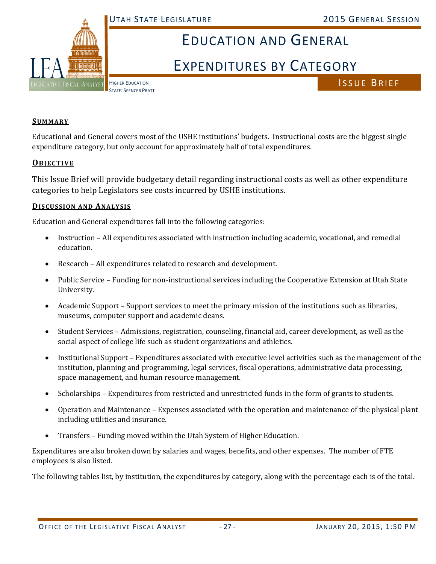

# EDUCATION AND GENERAL

# EXPENDITURES BY CATEGORY

ISSUE BRIEF

#### **SUMMARY**

Educational and General covers most of the USHE institutions' budgets. Instructional costs are the biggest single expenditure category, but only account for approximately half of total expenditures.

#### **OBJECTIVE**

This Issue Brief will provide budgetary detail regarding instructional costs as well as other expenditure categories to help Legislators see costs incurred by USHE institutions.

#### **DISCUSSION AND ANALYSIS**

Education and General expenditures fall into the following categories:

- Instruction All expenditures associated with instruction including academic, vocational, and remedial education.
- Research All expenditures related to research and development.
- Public Service Funding for non-instructional services including the Cooperative Extension at Utah State University.
- Academic Support Support services to meet the primary mission of the institutions such as libraries, museums, computer support and academic deans.
- Student Services Admissions, registration, counseling, financial aid, career development, as well as the social aspect of college life such as student organizations and athletics.
- Institutional Support Expenditures associated with executive level activities such as the management of the institution, planning and programming, legal services, fiscal operations, administrative data processing, space management, and human resource management.
- Scholarships Expenditures from restricted and unrestricted funds in the form of grants to students.
- Operation and Maintenance Expenses associated with the operation and maintenance of the physical plant including utilities and insurance.
- Transfers Funding moved within the Utah System of Higher Education.

Expenditures are also broken down by salaries and wages, benefits, and other expenses. The number of FTE employees is also listed.

The following tables list, by institution, the expenditures by category, along with the percentage each is of the total.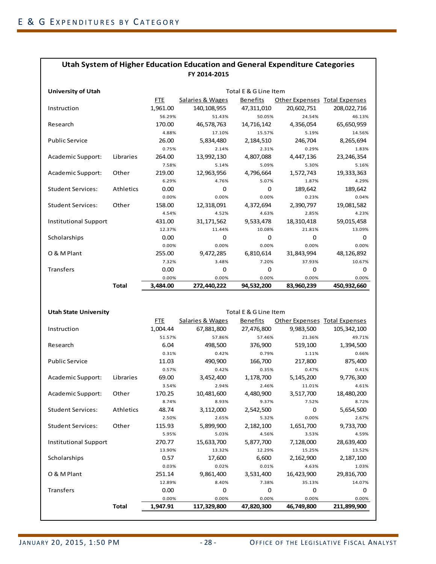| <b>University of Utah</b>    |              |            | Total E & G Line Item |             |                                      |              |
|------------------------------|--------------|------------|-----------------------|-------------|--------------------------------------|--------------|
|                              |              | <b>FTE</b> | Salaries & Wages      | Benefits    | <b>Other Expenses Total Expenses</b> |              |
| Instruction                  |              | 1,961.00   | 140, 108, 955         | 47,311,010  | 20,602,751                           | 208,022,716  |
|                              |              | 56.29%     | 51.43%                | 50.05%      | 24.54%                               | 46.13%       |
| Research                     |              | 170.00     | 46,578,763            | 14,716,142  | 4,356,054                            | 65,650,959   |
|                              |              | 4.88%      | 17.10%                | 15.57%      | 5.19%                                | 14.56%       |
| <b>Public Service</b>        |              | 26.00      | 5,834,480             | 2,184,510   | 246,704                              | 8,265,694    |
|                              |              | 0.75%      | 2.14%                 | 2.31%       | 0.29%                                | 1.83%        |
| Academic Support:            | Libraries    | 264.00     | 13,992,130            | 4,807,088   | 4,447,136                            | 23, 246, 354 |
|                              |              | 7.58%      | 5.14%                 | 5.09%       | 5.30%                                | 5.16%        |
| Academic Support:            | Other        | 219.00     | 12,963,956            | 4,796,664   | 1,572,743                            | 19,333,363   |
|                              |              | 6.29%      | 4.76%                 | 5.07%       | 1.87%                                | 4.29%        |
| <b>Student Services:</b>     | Athletics    | 0.00       | 0                     | $\mathbf 0$ | 189,642                              | 189,642      |
|                              |              | 0.00%      | 0.00%                 | 0.00%       | 0.23%                                | 0.04%        |
| <b>Student Services:</b>     | Other        | 158.00     | 12,318,091            | 4,372,694   | 2,390,797                            | 19,081,582   |
|                              |              | 4.54%      | 4.52%                 | 4.63%       | 2.85%                                | 4.23%        |
| <b>Institutional Support</b> |              | 431.00     | 31, 171, 562          | 9,533,478   | 18,310,418                           | 59,015,458   |
|                              |              | 12.37%     | 11.44%                | 10.08%      | 21.81%                               | 13.09%       |
| Scholarships                 |              | 0.00       | 0                     | 0           | 0                                    | 0            |
|                              |              | 0.00%      | 0.00%                 | 0.00%       | 0.00%                                | 0.00%        |
| O & M Plant                  |              | 255.00     | 9,472,285             | 6,810,614   | 31,843,994                           | 48,126,892   |
|                              |              | 7.32%      | 3.48%                 | 7.20%       | 37.93%                               | 10.67%       |
| <b>Transfers</b>             |              | 0.00       | 0                     | 0           | 0                                    | 0            |
|                              |              | 0.00%      | 0.00%                 | 0.00%       | 0.00%                                | 0.00%        |
|                              | <b>Total</b> | 3,484.00   | 272,440,222           | 94,532,200  | 83,960,239                           | 450,932,660  |

| <b>Utah State University</b> | Total E & G Line Item |          |                  |                 |                               |             |
|------------------------------|-----------------------|----------|------------------|-----------------|-------------------------------|-------------|
|                              |                       | FTE      | Salaries & Wages | <b>Benefits</b> | Other Expenses Total Expenses |             |
| Instruction                  |                       | 1,004.44 | 67,881,800       | 27,476,800      | 9,983,500                     | 105,342,100 |
|                              |                       | 51.57%   | 57.86%           | 57.46%          | 21.36%                        | 49.71%      |
| Research                     |                       | 6.04     | 498,500          | 376,900         | 519,100                       | 1,394,500   |
|                              |                       | 0.31%    | 0.42%            | 0.79%           | 1.11%                         | 0.66%       |
| <b>Public Service</b>        |                       | 11.03    | 490,900          | 166,700         | 217,800                       | 875,400     |
|                              |                       | 0.57%    | 0.42%            | 0.35%           | 0.47%                         | 0.41%       |
| Academic Support:            | Libraries             | 69.00    | 3,452,400        | 1,178,700       | 5,145,200                     | 9,776,300   |
|                              |                       | 3.54%    | 2.94%            | 2.46%           | 11.01%                        | 4.61%       |
| Academic Support:            | Other                 | 170.25   | 10,481,600       | 4,480,900       | 3,517,700                     | 18,480,200  |
|                              |                       | 8.74%    | 8.93%            | 9.37%           | 7.52%                         | 8.72%       |
| <b>Student Services:</b>     | Athletics             | 48.74    | 3,112,000        | 2,542,500       | $\mathbf 0$                   | 5,654,500   |
|                              |                       | 2.50%    | 2.65%            | 5.32%           | 0.00%                         | 2.67%       |
| <b>Student Services:</b>     | Other                 | 115.93   | 5,899,900        | 2,182,100       | 1,651,700                     | 9,733,700   |
|                              |                       | 5.95%    | 5.03%            | 4.56%           | 3.53%                         | 4.59%       |
| <b>Institutional Support</b> |                       | 270.77   | 15,633,700       | 5,877,700       | 7,128,000                     | 28,639,400  |
|                              |                       | 13.90%   | 13.32%           | 12.29%          | 15.25%                        | 13.52%      |
| Scholarships                 |                       | 0.57     | 17,600           | 6,600           | 2,162,900                     | 2,187,100   |
|                              |                       | 0.03%    | 0.02%            | 0.01%           | 4.63%                         | 1.03%       |
| O & M Plant                  |                       | 251.14   | 9,861,400        | 3,531,400       | 16,423,900                    | 29,816,700  |
|                              |                       | 12.89%   | 8.40%            | 7.38%           | 35.13%                        | 14.07%      |
| <b>Transfers</b>             |                       | 0.00     | $\Omega$         | $\mathbf 0$     | 0                             | 0           |
|                              |                       | 0.00%    | 0.00%            | 0.00%           | 0.00%                         | 0.00%       |
|                              | <b>Total</b>          | 1.947.91 | 117,329,800      | 47,820,300      | 46,749,800                    | 211,899,900 |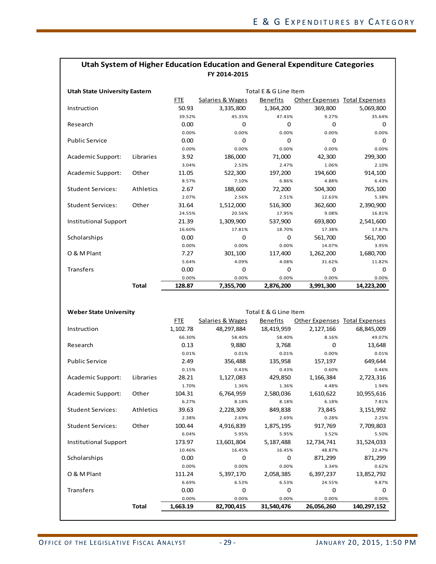| <b>Utah State University Eastern</b> | Total E & G Line Item |            |                             |                 |                                      |            |
|--------------------------------------|-----------------------|------------|-----------------------------|-----------------|--------------------------------------|------------|
|                                      |                       | <b>FTE</b> | <b>Salaries &amp; Wages</b> | <b>Benefits</b> | <b>Other Expenses Total Expenses</b> |            |
| Instruction                          |                       | 50.93      | 3,335,800                   | 1,364,200       | 369,800                              | 5,069,800  |
|                                      |                       | 39.52%     | 45.35%                      | 47.43%          | 9.27%                                | 35.64%     |
| Research                             |                       | 0.00       | 0                           | 0               | $\Omega$                             | 0          |
|                                      |                       | 0.00%      | 0.00%                       | 0.00%           | 0.00%                                | 0.00%      |
| <b>Public Service</b>                |                       | 0.00       | 0                           | 0               | $\Omega$                             | 0          |
|                                      |                       | 0.00%      | 0.00%                       | 0.00%           | 0.00%                                | 0.00%      |
| Academic Support:                    | Libraries             | 3.92       | 186,000                     | 71,000          | 42,300                               | 299,300    |
|                                      |                       | 3.04%      | 2.53%                       | 2.47%           | 1.06%                                | 2.10%      |
| Academic Support:                    | Other                 | 11.05      | 522,300                     | 197,200         | 194,600                              | 914,100    |
|                                      |                       | 8.57%      | 7.10%                       | 6.86%           | 4.88%                                | 6.43%      |
| <b>Student Services:</b>             | Athletics             | 2.67       | 188,600                     | 72,200          | 504,300                              | 765,100    |
|                                      |                       | 2.07%      | 2.56%                       | 2.51%           | 12.63%                               | 5.38%      |
| <b>Student Services:</b>             | Other                 | 31.64      | 1,512,000                   | 516,300         | 362,600                              | 2,390,900  |
|                                      |                       | 24.55%     | 20.56%                      | 17.95%          | 9.08%                                | 16.81%     |
| <b>Institutional Support</b>         |                       | 21.39      | 1,309,900                   | 537,900         | 693,800                              | 2,541,600  |
|                                      |                       | 16.60%     | 17.81%                      | 18.70%          | 17.38%                               | 17.87%     |
| Scholarships                         |                       | 0.00       | 0                           | $\mathbf 0$     | 561.700                              | 561,700    |
|                                      |                       | 0.00%      | 0.00%                       | 0.00%           | 14.07%                               | 3.95%      |
| O & M Plant                          |                       | 7.27       | 301,100                     | 117,400         | 1,262,200                            | 1,680,700  |
|                                      |                       | 5.64%      | 4.09%                       | 4.08%           | 31.62%                               | 11.82%     |
| <b>Transfers</b>                     |                       | 0.00       | 0                           | 0               | 0                                    | 0          |
|                                      |                       | 0.00%      | 0.00%                       | 0.00%           | 0.00%                                | 0.00%      |
|                                      | <b>Total</b>          | 128.87     | 7,355,700                   | 2,876,200       | 3,991,300                            | 14,223,200 |

| <b>Weber State University</b> |           | Total E & G Line Item |                  |            |                               |             |  |
|-------------------------------|-----------|-----------------------|------------------|------------|-------------------------------|-------------|--|
|                               |           | FTE.                  | Salaries & Wages | Benefits   | Other Expenses Total Expenses |             |  |
| Instruction                   |           | 1,102.78              | 48,297,884       | 18,419,959 | 2,127,166                     | 68,845,009  |  |
|                               |           | 66.30%                | 58.40%           | 58.40%     | 8.16%                         | 49.07%      |  |
| Research                      |           | 0.13                  | 9,880            | 3,768      | 0                             | 13,648      |  |
|                               |           | 0.01%                 | 0.01%            | 0.01%      | 0.00%                         | 0.01%       |  |
| <b>Public Service</b>         |           | 2.49                  | 356,488          | 135,958    | 157,197                       | 649,644     |  |
|                               |           | 0.15%                 | 0.43%            | 0.43%      | 0.60%                         | 0.46%       |  |
| Academic Support:             | Libraries | 28.21                 | 1,127,083        | 429,850    | 1,166,384                     | 2,723,316   |  |
|                               |           | 1.70%                 | 1.36%            | 1.36%      | 4.48%                         | 1.94%       |  |
| Academic Support:             | Other     | 104.31                | 6,764,959        | 2,580,036  | 1,610,622                     | 10,955,616  |  |
|                               |           | 6.27%                 | 8.18%            | 8.18%      | 6.18%                         | 7.81%       |  |
| <b>Student Services:</b>      | Athletics | 39.63                 | 2,228,309        | 849,838    | 73,845                        | 3,151,992   |  |
|                               |           | 2.38%                 | 2.69%            | 2.69%      | 0.28%                         | 2.25%       |  |
| <b>Student Services:</b>      | Other     | 100.44                | 4,916,839        | 1,875,195  | 917,769                       | 7,709,803   |  |
|                               |           | 6.04%                 | 5.95%            | 5.95%      | 3.52%                         | 5.50%       |  |
| <b>Institutional Support</b>  |           | 173.97                | 13,601,804       | 5,187,488  | 12,734,741                    | 31,524,033  |  |
|                               |           | 10.46%                | 16.45%           | 16.45%     | 48.87%                        | 22.47%      |  |
| Scholarships                  |           | 0.00                  | 0                | $\Omega$   | 871,299                       | 871,299     |  |
|                               |           | 0.00%                 | 0.00%            | 0.00%      | 3.34%                         | 0.62%       |  |
| O & M Plant                   |           | 111.24                | 5,397,170        | 2,058,385  | 6,397,237                     | 13,852,792  |  |
|                               |           | 6.69%                 | 6.53%            | 6.53%      | 24.55%                        | 9.87%       |  |
| <b>Transfers</b>              |           | 0.00                  | $\Omega$         | $\Omega$   | 0                             | $\Omega$    |  |
|                               |           | 0.00%                 | 0.00%            | 0.00%      | 0.00%                         | 0.00%       |  |
|                               | Total     | 1,663.19              | 82,700,415       | 31,540,476 | 26,056,260                    | 140,297,152 |  |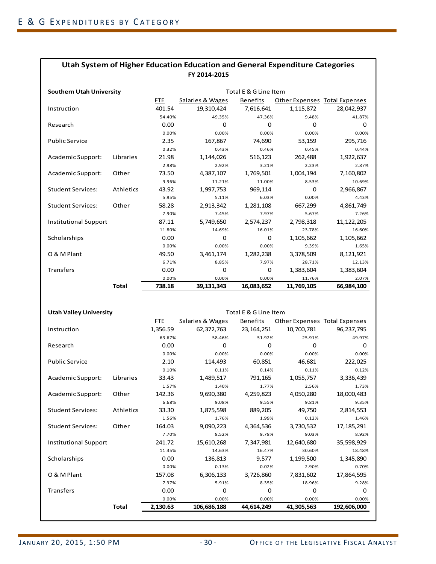| <b>Southern Utah University</b> |              |            | Total E & G Line Item |                 |                               |              |  |
|---------------------------------|--------------|------------|-----------------------|-----------------|-------------------------------|--------------|--|
|                                 |              | <b>FTE</b> | Salaries & Wages      | <b>Benefits</b> | Other Expenses Total Expenses |              |  |
| Instruction                     |              | 401.54     | 19,310,424            | 7,616,641       | 1,115,872                     | 28,042,937   |  |
|                                 |              | 54.40%     | 49.35%                | 47.36%          | 9.48%                         | 41.87%       |  |
| Research                        |              | 0.00       | 0                     | $\Omega$        | $\Omega$                      | $\Omega$     |  |
|                                 |              | 0.00%      | 0.00%                 | 0.00%           | 0.00%                         | 0.00%        |  |
| <b>Public Service</b>           |              | 2.35       | 167,867               | 74,690          | 53,159                        | 295,716      |  |
|                                 |              | 0.32%      | 0.43%                 | 0.46%           | 0.45%                         | 0.44%        |  |
| Academic Support:               | Libraries    | 21.98      | 1,144,026             | 516,123         | 262,488                       | 1,922,637    |  |
|                                 |              | 2.98%      | 2.92%                 | 3.21%           | 2.23%                         | 2.87%        |  |
| Academic Support:               | Other        | 73.50      | 4,387,107             | 1,769,501       | 1,004,194                     | 7,160,802    |  |
|                                 |              | 9.96%      | 11.21%                | 11.00%          | 8.53%                         | 10.69%       |  |
| <b>Student Services:</b>        | Athletics    | 43.92      | 1,997,753             | 969,114         | 0                             | 2,966,867    |  |
|                                 |              | 5.95%      | 5.11%                 | 6.03%           | 0.00%                         | 4.43%        |  |
| <b>Student Services:</b>        | Other        | 58.28      | 2,913,342             | 1,281,108       | 667,299                       | 4,861,749    |  |
|                                 |              | 7.90%      | 7.45%                 | 7.97%           | 5.67%                         | 7.26%        |  |
| <b>Institutional Support</b>    |              | 87.11      | 5,749,650             | 2,574,237       | 2,798,318                     | 11, 122, 205 |  |
|                                 |              | 11.80%     | 14.69%                | 16.01%          | 23.78%                        | 16.60%       |  |
| Scholarships                    |              | 0.00       | 0                     | 0               | 1,105,662                     | 1,105,662    |  |
|                                 |              | 0.00%      | 0.00%                 | 0.00%           | 9.39%                         | 1.65%        |  |
| O & M Plant                     |              | 49.50      | 3,461,174             | 1,282,238       | 3,378,509                     | 8,121,921    |  |
|                                 |              | 6.71%      | 8.85%                 | 7.97%           | 28.71%                        | 12.13%       |  |
| Transfers                       |              | 0.00       | 0                     | 0               | 1,383,604                     | 1,383,604    |  |
|                                 |              | 0.00%      | 0.00%                 | 0.00%           | 11.76%                        | 2.07%        |  |
|                                 | <b>Total</b> | 738.18     | 39,131,343            | 16,083,652      | 11,769,105                    | 66,984,100   |  |

| <b>Utah Valley University</b> |              | Total E & G Line Item |                  |                 |                                      |             |  |
|-------------------------------|--------------|-----------------------|------------------|-----------------|--------------------------------------|-------------|--|
|                               |              | <b>FTE</b>            | Salaries & Wages | <b>Benefits</b> | <b>Other Expenses Total Expenses</b> |             |  |
| Instruction                   |              | 1,356.59              | 62,372,763       | 23, 164, 251    | 10,700,781                           | 96,237,795  |  |
|                               |              | 63.67%                | 58.46%           | 51.92%          | 25.91%                               | 49.97%      |  |
| Research                      |              | 0.00                  | $\Omega$         | 0               | $\Omega$                             | $\Omega$    |  |
|                               |              | 0.00%                 | 0.00%            | 0.00%           | 0.00%                                | 0.00%       |  |
| <b>Public Service</b>         |              | 2.10                  | 114,493          | 60,851          | 46,681                               | 222,025     |  |
|                               |              | 0.10%                 | 0.11%            | 0.14%           | 0.11%                                | 0.12%       |  |
| Academic Support:             | Libraries    | 33.43                 | 1,489,517        | 791,165         | 1,055,757                            | 3,336,439   |  |
|                               |              | 1.57%                 | 1.40%            | 1.77%           | 2.56%                                | 1.73%       |  |
| Academic Support:             | Other        | 142.36                | 9,690,380        | 4,259,823       | 4,050,280                            | 18,000,483  |  |
|                               |              | 6.68%                 | 9.08%            | 9.55%           | 9.81%                                | 9.35%       |  |
| <b>Student Services:</b>      | Athletics    | 33.30                 | 1,875,598        | 889,205         | 49.750                               | 2,814,553   |  |
|                               |              | 1.56%                 | 1.76%            | 1.99%           | 0.12%                                | 1.46%       |  |
| <b>Student Services:</b>      | Other        | 164.03                | 9,090,223        | 4,364,536       | 3,730,532                            | 17,185,291  |  |
|                               |              | 7.70%                 | 8.52%            | 9.78%           | 9.03%                                | 8.92%       |  |
| <b>Institutional Support</b>  |              | 241.72                | 15.610.268       | 7,347,981       | 12,640,680                           | 35,598,929  |  |
|                               |              | 11.35%                | 14.63%           | 16.47%          | 30.60%                               | 18.48%      |  |
| Scholarships                  |              | 0.00                  | 136,813          | 9,577           | 1,199,500                            | 1,345,890   |  |
|                               |              | 0.00%                 | 0.13%            | 0.02%           | 2.90%                                | 0.70%       |  |
| O & M Plant                   |              | 157.08                | 6,306,133        | 3,726,860       | 7,831,602                            | 17,864,595  |  |
|                               |              | 7.37%                 | 5.91%            | 8.35%           | 18.96%                               | 9.28%       |  |
| <b>Transfers</b>              |              | 0.00                  | $\Omega$         | $\Omega$        | $\Omega$                             | $\Omega$    |  |
|                               |              | 0.00%                 | 0.00%            | 0.00%           | 0.00%                                | 0.00%       |  |
|                               | <b>Total</b> | 2,130.63              | 106,686,188      | 44,614,249      | 41,305,563                           | 192,606,000 |  |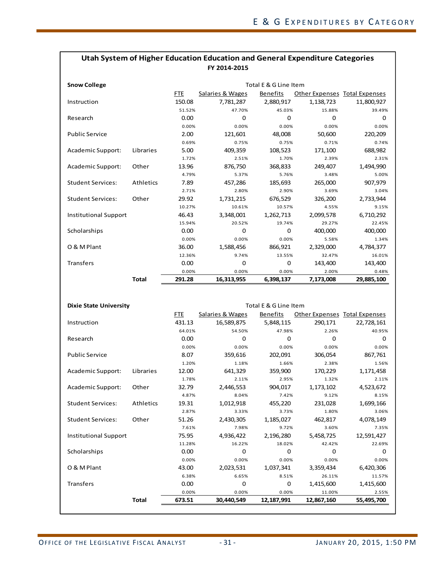| <b>Snow College</b>          |           |        |                  | Total E & G Line Item |                                      |            |
|------------------------------|-----------|--------|------------------|-----------------------|--------------------------------------|------------|
|                              |           | FTE.   | Salaries & Wages | <b>Benefits</b>       | <b>Other Expenses Total Expenses</b> |            |
| Instruction                  |           | 150.08 | 7,781,287        | 2,880,917             | 1,138,723                            | 11,800,927 |
|                              |           | 51.52% | 47.70%           | 45.03%                | 15.88%                               | 39.49%     |
| Research                     |           | 0.00   | $\Omega$         | $\Omega$              | $\Omega$                             | $\Omega$   |
|                              |           | 0.00%  | 0.00%            | 0.00%                 | 0.00%                                | 0.00%      |
| <b>Public Service</b>        |           | 2.00   | 121,601          | 48,008                | 50,600                               | 220,209    |
|                              |           | 0.69%  | 0.75%            | 0.75%                 | 0.71%                                | 0.74%      |
| Academic Support:            | Libraries | 5.00   | 409,359          | 108,523               | 171,100                              | 688,982    |
|                              |           | 1.72%  | 2.51%            | 1.70%                 | 2.39%                                | 2.31%      |
| Academic Support:            | Other     | 13.96  | 876,750          | 368,833               | 249,407                              | 1,494,990  |
|                              |           | 4.79%  | 5.37%            | 5.76%                 | 3.48%                                | 5.00%      |
| <b>Student Services:</b>     | Athletics | 7.89   | 457,286          | 185,693               | 265,000                              | 907,979    |
|                              |           | 2.71%  | 2.80%            | 2.90%                 | 3.69%                                | 3.04%      |
| <b>Student Services:</b>     | Other     | 29.92  | 1,731,215        | 676,529               | 326,200                              | 2,733,944  |
|                              |           | 10.27% | 10.61%           | 10.57%                | 4.55%                                | 9.15%      |
| <b>Institutional Support</b> |           | 46.43  | 3,348,001        | 1,262,713             | 2,099,578                            | 6,710,292  |
|                              |           | 15.94% | 20.52%           | 19.74%                | 29.27%                               | 22.45%     |
| Scholarships                 |           | 0.00   | 0                | 0                     | 400,000                              | 400,000    |
|                              |           | 0.00%  | 0.00%            | 0.00%                 | 5.58%                                | 1.34%      |
| O & M Plant                  |           | 36.00  | 1,588,456        | 866,921               | 2,329,000                            | 4,784,377  |
|                              |           | 12.36% | 9.74%            | 13.55%                | 32.47%                               | 16.01%     |
| <b>Transfers</b>             |           | 0.00   | $\mathbf 0$      | 0                     | 143,400                              | 143,400    |
|                              |           | 0.00%  | 0.00%            | 0.00%                 | 2.00%                                | 0.48%      |
|                              | Total     | 291.28 | 16,313,955       | 6,398,137             | 7,173,008                            | 29,885,100 |

| <b>Dixie State University</b> | Total E & G Line Item |        |                  |                 |                               |            |
|-------------------------------|-----------------------|--------|------------------|-----------------|-------------------------------|------------|
|                               |                       | FTE.   | Salaries & Wages | <b>Benefits</b> | Other Expenses Total Expenses |            |
| Instruction                   |                       | 431.13 | 16,589,875       | 5,848,115       | 290,171                       | 22,728,161 |
|                               |                       | 64.01% | 54.50%           | 47.98%          | 2.26%                         | 40.95%     |
| Research                      |                       | 0.00   | $\Omega$         | $\Omega$        | 0                             | $\Omega$   |
|                               |                       | 0.00%  | 0.00%            | 0.00%           | 0.00%                         | 0.00%      |
| <b>Public Service</b>         |                       | 8.07   | 359,616          | 202,091         | 306,054                       | 867,761    |
|                               |                       | 1.20%  | 1.18%            | 1.66%           | 2.38%                         | 1.56%      |
| Academic Support:             | Libraries             | 12.00  | 641,329          | 359,900         | 170,229                       | 1,171,458  |
|                               |                       | 1.78%  | 2.11%            | 2.95%           | 1.32%                         | 2.11%      |
| Academic Support:             | Other                 | 32.79  | 2,446,553        | 904.017         | 1,173,102                     | 4,523,672  |
|                               |                       | 4.87%  | 8.04%            | 7.42%           | 9.12%                         | 8.15%      |
| <b>Student Services:</b>      | Athletics             | 19.31  | 1,012,918        | 455,220         | 231,028                       | 1,699,166  |
|                               |                       | 2.87%  | 3.33%            | 3.73%           | 1.80%                         | 3.06%      |
| <b>Student Services:</b>      | Other                 | 51.26  | 2,430,305        | 1,185,027       | 462,817                       | 4,078,149  |
|                               |                       | 7.61%  | 7.98%            | 9.72%           | 3.60%                         | 7.35%      |
| <b>Institutional Support</b>  |                       | 75.95  | 4,936,422        | 2,196,280       | 5,458,725                     | 12,591,427 |
|                               |                       | 11.28% | 16.22%           | 18.02%          | 42.42%                        | 22.69%     |
| Scholarships                  |                       | 0.00   | $\Omega$         | $\Omega$        | $\Omega$                      | $\Omega$   |
|                               |                       | 0.00%  | 0.00%            | 0.00%           | 0.00%                         | 0.00%      |
| O & M Plant                   |                       | 43.00  | 2,023,531        | 1,037,341       | 3,359,434                     | 6,420,306  |
|                               |                       | 6.38%  | 6.65%            | 8.51%           | 26.11%                        | 11.57%     |
| <b>Transfers</b>              |                       | 0.00   | 0                | 0               | 1,415,600                     | 1,415,600  |
|                               |                       | 0.00%  | 0.00%            | 0.00%           | 11.00%                        | 2.55%      |
|                               | <b>Total</b>          | 673.51 | 30,440,549       | 12,187,991      | 12,867,160                    | 55,495,700 |
|                               |                       |        |                  |                 |                               |            |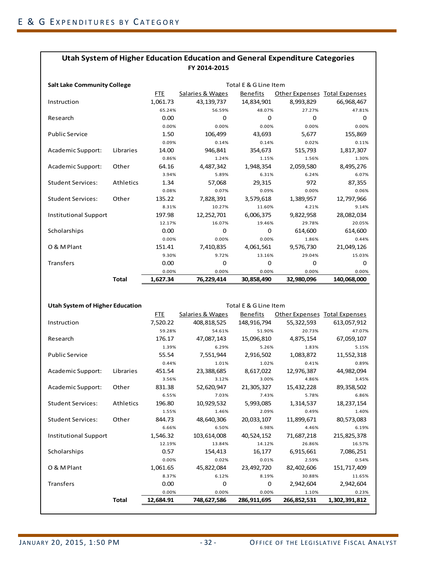| <b>Salt Lake Community College</b> |              |            | Total E & G Line Item |                 |                               |             |  |
|------------------------------------|--------------|------------|-----------------------|-----------------|-------------------------------|-------------|--|
|                                    |              | <b>FTE</b> | Salaries & Wages      | <b>Benefits</b> | Other Expenses Total Expenses |             |  |
| Instruction                        |              | 1,061.73   | 43, 139, 737          | 14,834,901      | 8,993,829                     | 66,968,467  |  |
|                                    |              | 65.24%     | 56.59%                | 48.07%          | 27.27%                        | 47.81%      |  |
| Research                           |              | 0.00       | 0                     | 0               | $\Omega$                      | 0           |  |
|                                    |              | 0.00%      | 0.00%                 | 0.00%           | 0.00%                         | 0.00%       |  |
| <b>Public Service</b>              |              | 1.50       | 106,499               | 43,693          | 5,677                         | 155,869     |  |
|                                    |              | 0.09%      | 0.14%                 | 0.14%           | 0.02%                         | 0.11%       |  |
| Academic Support:                  | Libraries    | 14.00      | 946,841               | 354,673         | 515,793                       | 1,817,307   |  |
|                                    |              | 0.86%      | 1.24%                 | 1.15%           | 1.56%                         | 1.30%       |  |
| Academic Support:                  | Other        | 64.16      | 4,487,342             | 1,948,354       | 2,059,580                     | 8,495,276   |  |
|                                    |              | 3.94%      | 5.89%                 | 6.31%           | 6.24%                         | 6.07%       |  |
| <b>Student Services:</b>           | Athletics    | 1.34       | 57,068                | 29,315          | 972                           | 87,355      |  |
|                                    |              | 0.08%      | 0.07%                 | 0.09%           | 0.00%                         | 0.06%       |  |
| <b>Student Services:</b>           | Other        | 135.22     | 7,828,391             | 3,579,618       | 1,389,957                     | 12,797,966  |  |
|                                    |              | 8.31%      | 10.27%                | 11.60%          | 4.21%                         | 9.14%       |  |
| <b>Institutional Support</b>       |              | 197.98     | 12,252,701            | 6,006,375       | 9,822,958                     | 28,082,034  |  |
|                                    |              | 12.17%     | 16.07%                | 19.46%          | 29.78%                        | 20.05%      |  |
| Scholarships                       |              | 0.00       | 0                     | $\mathbf 0$     | 614,600                       | 614,600     |  |
|                                    |              | 0.00%      | 0.00%                 | 0.00%           | 1.86%                         | 0.44%       |  |
| O & M Plant                        |              | 151.41     | 7,410,835             | 4,061,561       | 9,576,730                     | 21,049,126  |  |
|                                    |              | 9.30%      | 9.72%                 | 13.16%          | 29.04%                        | 15.03%      |  |
| <b>Transfers</b>                   |              | 0.00       | 0                     | 0               | 0                             | 0           |  |
|                                    |              | 0.00%      | 0.00%                 | 0.00%           | 0.00%                         | 0.00%       |  |
|                                    | <b>Total</b> | 1,627.34   | 76,229,414            | 30,858,490      | 32,980,096                    | 140,068,000 |  |

| Utah System of Higher Education |              | Total E & G Line Item |                  |             |                                      |               |
|---------------------------------|--------------|-----------------------|------------------|-------------|--------------------------------------|---------------|
|                                 |              | FTE                   | Salaries & Wages | Benefits    | <b>Other Expenses Total Expenses</b> |               |
| Instruction                     |              | 7,520.22              | 408,818,525      | 148,916,794 | 55,322,593                           | 613,057,912   |
|                                 |              | 59.28%                | 54.61%           | 51.90%      | 20.73%                               | 47.07%        |
| Research                        |              | 176.17                | 47,087,143       | 15,096,810  | 4,875,154                            | 67,059,107    |
|                                 |              | 1.39%                 | 6.29%            | 5.26%       | 1.83%                                | 5.15%         |
| <b>Public Service</b>           |              | 55.54                 | 7,551,944        | 2,916,502   | 1,083,872                            | 11,552,318    |
|                                 |              | 0.44%                 | 1.01%            | 1.02%       | 0.41%                                | 0.89%         |
| Academic Support:               | Libraries    | 451.54                | 23,388,685       | 8,617,022   | 12,976,387                           | 44,982,094    |
|                                 |              | 3.56%                 | 3.12%            | 3.00%       | 4.86%                                | 3.45%         |
| Academic Support:               | Other        | 831.38                | 52,620,947       | 21,305,327  | 15,432,228                           | 89,358,502    |
|                                 |              | 6.55%                 | 7.03%            | 7.43%       | 5.78%                                | 6.86%         |
| <b>Student Services:</b>        | Athletics    | 196.80                | 10,929,532       | 5,993,085   | 1,314,537                            | 18,237,154    |
|                                 |              | 1.55%                 | 1.46%            | 2.09%       | 0.49%                                | 1.40%         |
| <b>Student Services:</b>        | Other        | 844.73                | 48,640,306       | 20,033,107  | 11,899,671                           | 80,573,083    |
|                                 |              | 6.66%                 | 6.50%            | 6.98%       | 4.46%                                | 6.19%         |
| <b>Institutional Support</b>    |              | 1,546.32              | 103,614,008      | 40,524,152  | 71,687,218                           | 215,825,378   |
|                                 |              | 12.19%                | 13.84%           | 14.12%      | 26.86%                               | 16.57%        |
| Scholarships                    |              | 0.57                  | 154,413          | 16,177      | 6,915,661                            | 7,086,251     |
|                                 |              | 0.00%                 | 0.02%            | 0.01%       | 2.59%                                | 0.54%         |
| O & M Plant                     |              | 1,061.65              | 45,822,084       | 23,492,720  | 82,402,606                           | 151,717,409   |
|                                 |              | 8.37%                 | 6.12%            | 8.19%       | 30.88%                               | 11.65%        |
| <b>Transfers</b>                |              | 0.00                  | $\Omega$         | 0           | 2,942,604                            | 2,942,604     |
|                                 |              | 0.00%                 | 0.00%            | 0.00%       | 1.10%                                | 0.23%         |
|                                 | <b>Total</b> | 12,684.91             | 748,627,586      | 286,911,695 | 266,852,531                          | 1,302,391,812 |
|                                 |              |                       |                  |             |                                      |               |